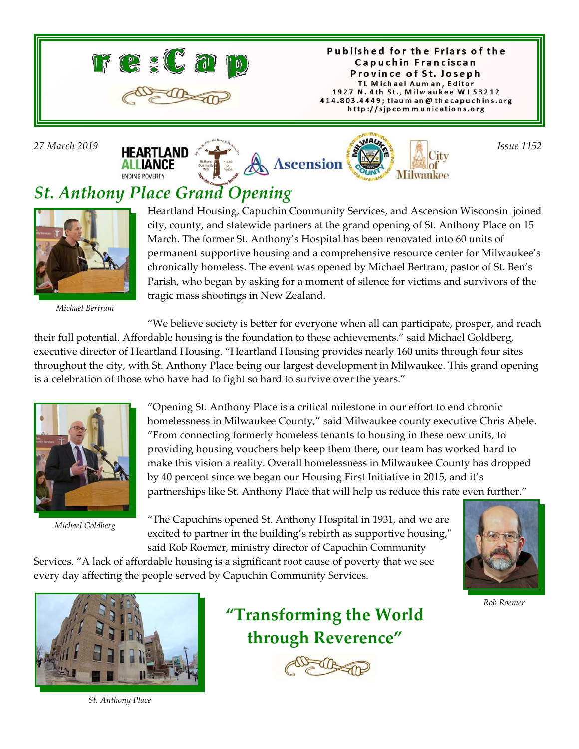

Published for the Friars of the Capuchin Franciscan Province of St. Joseph TL Michael Auman, Editor 1927 N. 4th St., Milwaukee W153212 414.803.4449; tlaum an @ thecapuchins.org http://sjpcommunications.org



## *St. Anthony Place Grand Opening*



*Michael Bertram*

Heartland Housing, Capuchin Community Services, and Ascension Wisconsin joined city, county, and statewide partners at the grand opening of St. Anthony Place on 15 March. The former St. Anthony's Hospital has been renovated into 60 units of permanent supportive housing and a comprehensive resource center for Milwaukee's chronically homeless. The event was opened by Michael Bertram, pastor of St. Ben's Parish, who began by asking for a moment of silence for victims and survivors of the tragic mass shootings in New Zealand.

"We believe society is better for everyone when all can participate, prosper, and reach their full potential. Affordable housing is the foundation to these achievements." said Michael Goldberg, executive director of Heartland Housing. "Heartland Housing provides nearly 160 units through four sites throughout the city, with St. Anthony Place being our largest development in Milwaukee. This grand opening is a celebration of those who have had to fight so hard to survive over the years."



*Michael Goldberg*

"Opening St. Anthony Place is a critical milestone in our effort to end chronic homelessness in Milwaukee County," said Milwaukee county executive Chris Abele. "From connecting formerly homeless tenants to housing in these new units, to providing housing vouchers help keep them there, our team has worked hard to make this vision a reality. Overall homelessness in Milwaukee County has dropped by 40 percent since we began our Housing First Initiative in 2015, and it's partnerships like St. Anthony Place that will help us reduce this rate even further."

"The Capuchins opened St. Anthony Hospital in 1931, and we are excited to partner in the building's rebirth as supportive housing," said Rob Roemer, ministry director of Capuchin Community

Services. "A lack of affordable housing is a significant root cause of poverty that we see every day affecting the people served by Capuchin Community Services.



*Rob Roemer*



*St. Anthony Place*

# **"Transforming the World through Reverence"**

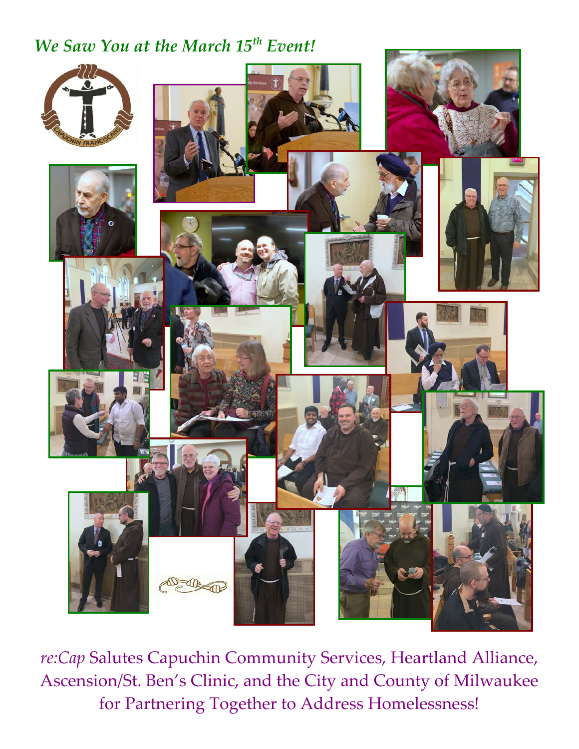### *We Saw You at the March 15th Event!*



*re:Cap* Salutes Capuchin Community Services, Heartland Alliance, Ascension/St. Ben's Clinic, and the City and County of Milwaukee for Partnering Together to Address Homelessness!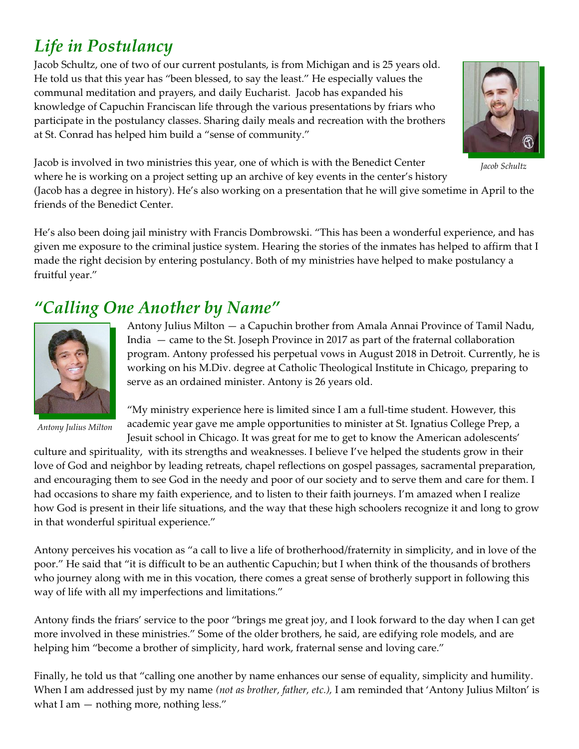# *Life in Postulancy*

Jacob Schultz, one of two of our current postulants, is from Michigan and is 25 years old. He told us that this year has "been blessed, to say the least." He especially values the communal meditation and prayers, and daily Eucharist. Jacob has expanded his knowledge of Capuchin Franciscan life through the various presentations by friars who participate in the postulancy classes. Sharing daily meals and recreation with the brothers at St. Conrad has helped him build a "sense of community."



Jacob is involved in two ministries this year, one of which is with the Benedict Center where he is working on a project setting up an archive of key events in the center's history

*Jacob Schultz*

(Jacob has a degree in history). He's also working on a presentation that he will give sometime in April to the friends of the Benedict Center.

He's also been doing jail ministry with Francis Dombrowski. "This has been a wonderful experience, and has given me exposure to the criminal justice system. Hearing the stories of the inmates has helped to affirm that I made the right decision by entering postulancy. Both of my ministries have helped to make postulancy a fruitful year."

### *"Calling One Another by Name"*



*Antony Julius Milton*

Antony Julius Milton — a Capuchin brother from Amala Annai Province of Tamil Nadu, India — came to the St. Joseph Province in 2017 as part of the fraternal collaboration program. Antony professed his perpetual vows in August 2018 in Detroit. Currently, he is working on his M.Div. degree at Catholic Theological Institute in Chicago, preparing to serve as an ordained minister. Antony is 26 years old.

"My ministry experience here is limited since I am a full-time student. However, this academic year gave me ample opportunities to minister at St. Ignatius College Prep, a Jesuit school in Chicago. It was great for me to get to know the American adolescents'

culture and spirituality, with its strengths and weaknesses. I believe I've helped the students grow in their love of God and neighbor by leading retreats, chapel reflections on gospel passages, sacramental preparation, and encouraging them to see God in the needy and poor of our society and to serve them and care for them. I had occasions to share my faith experience, and to listen to their faith journeys. I'm amazed when I realize how God is present in their life situations, and the way that these high schoolers recognize it and long to grow in that wonderful spiritual experience."

Antony perceives his vocation as "a call to live a life of brotherhood/fraternity in simplicity, and in love of the poor." He said that "it is difficult to be an authentic Capuchin; but I when think of the thousands of brothers who journey along with me in this vocation, there comes a great sense of brotherly support in following this way of life with all my imperfections and limitations."

Antony finds the friars' service to the poor "brings me great joy, and I look forward to the day when I can get more involved in these ministries." Some of the older brothers, he said, are edifying role models, and are helping him "become a brother of simplicity, hard work, fraternal sense and loving care."

Finally, he told us that "calling one another by name enhances our sense of equality, simplicity and humility. When I am addressed just by my name *(not as brother, father, etc.),* I am reminded that 'Antony Julius Milton' is what I am  $-$  nothing more, nothing less."